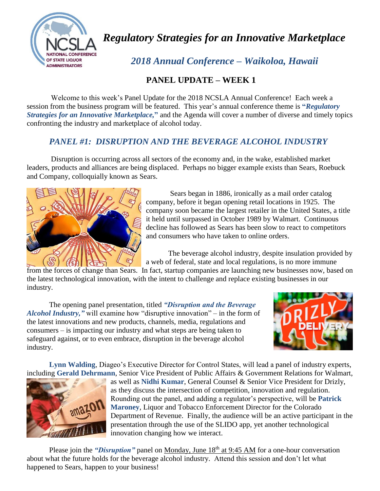

*Regulatory Strategies for an Innovative Marketplace*

 *2018 Annual Conference – Waikoloa, Hawaii*

## **PANEL UPDATE – WEEK 1**

Welcome to this week's Panel Update for the 2018 NCSLA Annual Conference! Each week a session from the business program will be featured. This year's annual conference theme is **"***Regulatory Strategies for an Innovative Marketplace,***"** and the Agenda will cover a number of diverse and timely topics confronting the industry and marketplace of alcohol today.

## *PANEL #1: DISRUPTION AND THE BEVERAGE ALCOHOL INDUSTRY*

Disruption is occurring across all sectors of the economy and, in the wake, established market leaders, products and alliances are being displaced. Perhaps no bigger example exists than Sears, Roebuck and Company, colloquially known as Sears.



Sears began in 1886, ironically as a mail order catalog company, before it began opening retail locations in 1925. The company soon became the largest retailer in the United States, a title it held until surpassed in October 1989 by Walmart. Continuous decline has followed as Sears has been slow to react to competitors and consumers who have taken to online orders.

The beverage alcohol industry, despite insulation provided by a web of federal, state and local regulations, is no more immune

from the forces of change than Sears. In fact, startup companies are launching new businesses now, based on the latest technological innovation, with the intent to challenge and replace existing businesses in our industry.

The opening panel presentation, titled *"Disruption and the Beverage Alcohol Industry,"* will examine how "disruptive innovation" – in the form of the latest innovations and new products, channels, media, regulations and consumers – is impacting our industry and what steps are being taken to safeguard against, or to even embrace, disruption in the beverage alcohol industry.



**Lynn Walding**, Diageo's Executive Director for Control States, will lead a panel of industry experts, including **Gerald Dehrmann**, Senior Vice President of Public Affairs & Government Relations for Walmart,



as well as **Nidhi Kumar**, General Counsel & Senior Vice President for Drizly, as they discuss the intersection of competition, innovation and regulation. Rounding out the panel, and adding a regulator's perspective, will be **Patrick Maroney**, Liquor and Tobacco Enforcement Director for the Colorado Department of Revenue. Finally, the audience will be an active participant in the presentation through the use of the SLIDO app, yet another technological innovation changing how we interact.

Please join the *"Disruption"* panel on Monday, June 18<sup>th</sup> at 9:45 AM for a one-hour conversation about what the future holds for the beverage alcohol industry. Attend this session and don't let what happened to Sears, happen to your business!